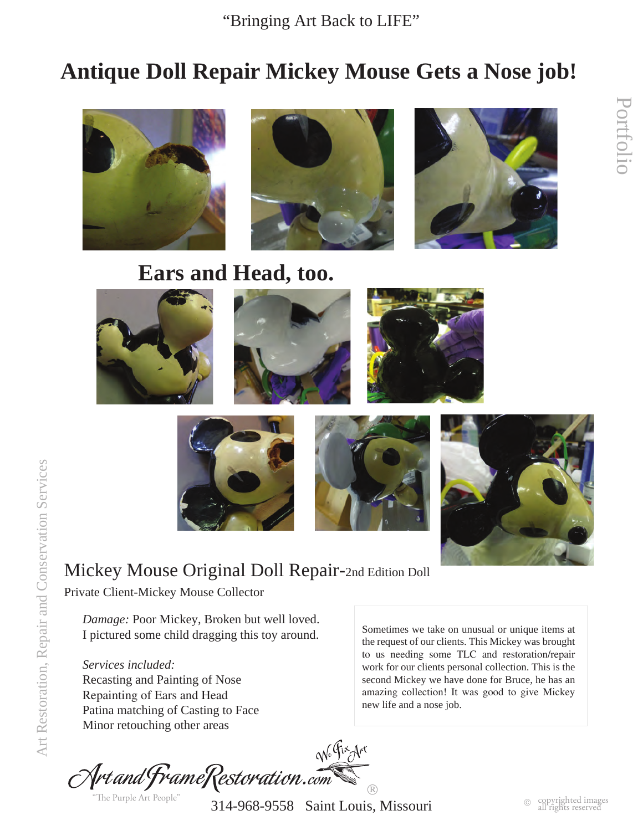# **Antique Doll Repair Mickey Mouse Gets a Nose job!**



# **Ears and Head, too.**







Portfolio

Portfolic

## Mickey Mouse Original Doll Repair-2nd Edition Doll

Private Client-Mickey Mouse Collector

*Damage:* Poor Mickey, Broken but well loved. I pictured some child dragging this toy around.

*Services included:* Recasting and Painting of Nose Repainting of Ears and Head Patina matching of Casting to Face Minor retouching other areas

Sometimes we take on unusual or unique items at the request of our clients. This Mickey was brought to us needing some TLC and restoration/repair work for our clients personal collection. This is the second Mickey we have done for Bruce, he has an amazing collection! It was good to give Mickey new life and a nose job.



"The Purple Art People"

 314-968-9558 Saint Louis, Missouri  $\circledR$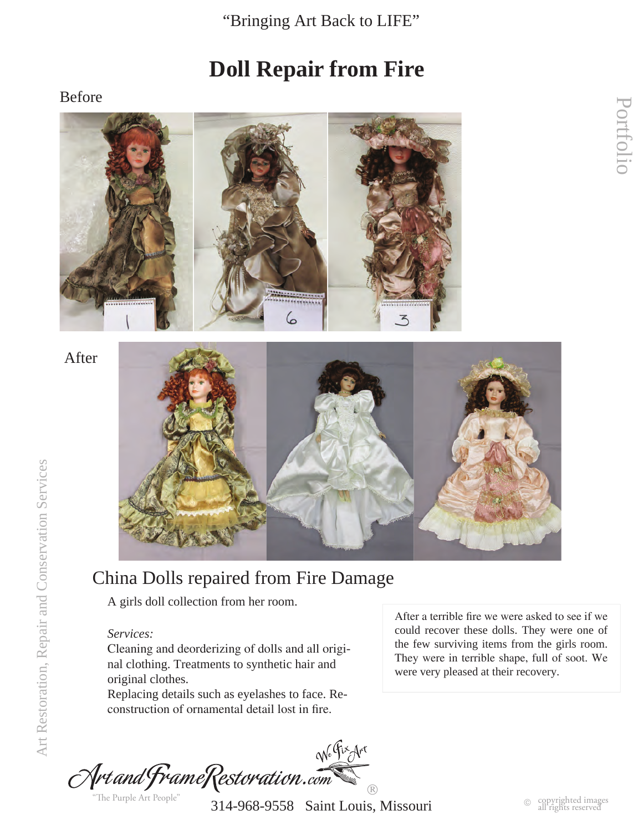## **Doll Repair from Fire**

#### Before



After



## China Dolls repaired from Fire Damage

A girls doll collection from her room.

#### *Services:*

Cleaning and deorderizing of dolls and all original clothing. Treatments to synthetic hair and original clothes.

Replacing details such as eyelashes to face. Reconstruction of ornamental detail lost in fire.

After a terrible fire we were asked to see if we could recover these dolls. They were one of the few surviving items from the girls room. They were in terrible shape, full of soot. We were very pleased at their recovery.

We Fix Art Artand FrameRestoration.com  $\circledR$ "The Purple Art People"

314-968-9558 Saint Louis, Missouri

Portfolio

Portfolic